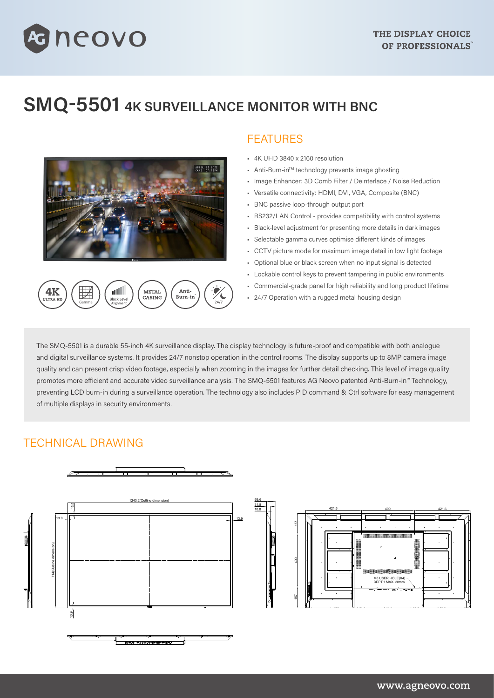# **SMQ-5501 4K SURVEILLANCE MONITOR WITH BNC**



neovo

## FEATURES

- 4K UHD 3840 x 2160 resolution
- Anti-Burn-inTM technology prevents image ghosting
- Image Enhancer: 3D Comb Filter / Deinterlace / Noise Reduction
- Versatile connectivity: HDMI, DVI, VGA, Composite (BNC)
- BNC passive loop-through output port
- RS232/LAN Control provides compatibility with control systems
- Black-level adjustment for presenting more details in dark images
- Selectable gamma curves optimise different kinds of images
- CCTV picture mode for maximum image detail in low light footage
- Optional blue or black screen when no input signal is detected
- Lockable control keys to prevent tampering in public environments
- Commercial-grade panel for high reliability and long product lifetime
- 24/7 Operation with a rugged metal housing design

The SMQ-5501 is a durable 55-inch 4K surveillance display. The display technology is future-proof and compatible with both analogue and digital surveillance systems. It provides 24/7 nonstop operation in the control rooms. The display supports up to 8MP camera image quality and can present crisp video footage, especially when zooming in the images for further detail checking. This level of image quality promotes more efficient and accurate video surveillance analysis. The SMQ-5501 features AG Neovo patented Anti-Burn-in™ Technology, preventing LCD burn-in during a surveillance operation. The technology also includes PID command & Ctrl software for easy management of multiple displays in security environments.

## TECHNICAL DRAWING





#### **www.agneovo.com**